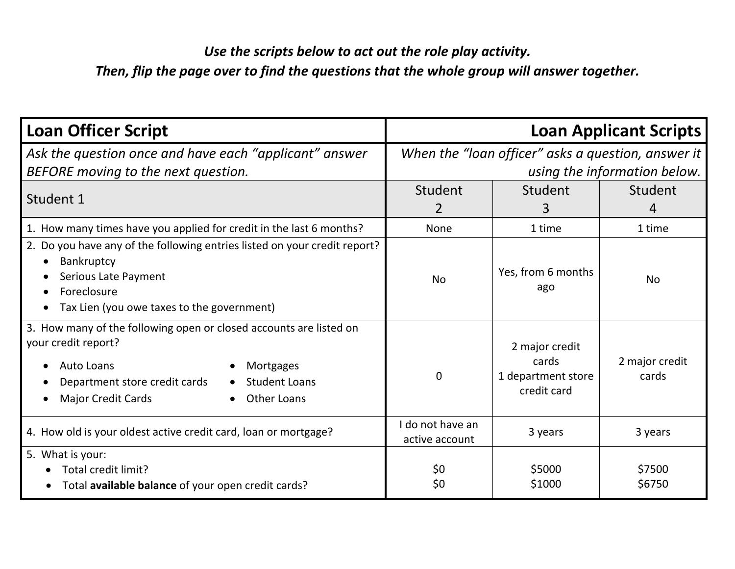## *Use the scripts below to act out the role play activity.*

*Then, flip the page over to find the questions that the whole group will answer together.*

| <b>Loan Officer Script</b>                                                                                                                                                                                                                    | <b>Loan Applicant Scripts</b>                                                      |                                                              |                           |
|-----------------------------------------------------------------------------------------------------------------------------------------------------------------------------------------------------------------------------------------------|------------------------------------------------------------------------------------|--------------------------------------------------------------|---------------------------|
| Ask the question once and have each "applicant" answer<br>BEFORE moving to the next question.                                                                                                                                                 | When the "loan officer" asks a question, answer it<br>using the information below. |                                                              |                           |
| Student 1                                                                                                                                                                                                                                     | Student<br>$\overline{2}$                                                          | Student<br>3                                                 | Student<br>$\overline{4}$ |
| 1. How many times have you applied for credit in the last 6 months?                                                                                                                                                                           | <b>None</b>                                                                        | 1 time                                                       | 1 time                    |
| 2. Do you have any of the following entries listed on your credit report?<br>Bankruptcy<br>Serious Late Payment<br>Foreclosure<br>Tax Lien (you owe taxes to the government)                                                                  | <b>No</b>                                                                          | Yes, from 6 months<br>ago                                    | <b>No</b>                 |
| 3. How many of the following open or closed accounts are listed on<br>your credit report?<br>Auto Loans<br>Mortgages<br>$\bullet$<br>Department store credit cards<br><b>Student Loans</b><br><b>Major Credit Cards</b><br><b>Other Loans</b> | $\mathbf 0$                                                                        | 2 major credit<br>cards<br>1 department store<br>credit card | 2 major credit<br>cards   |
| 4. How old is your oldest active credit card, loan or mortgage?                                                                                                                                                                               | I do not have an<br>active account                                                 | 3 years                                                      | 3 years                   |
| 5. What is your:<br>Total credit limit?<br>Total available balance of your open credit cards?                                                                                                                                                 | \$0<br>\$0                                                                         | \$5000<br>\$1000                                             | \$7500<br>\$6750          |